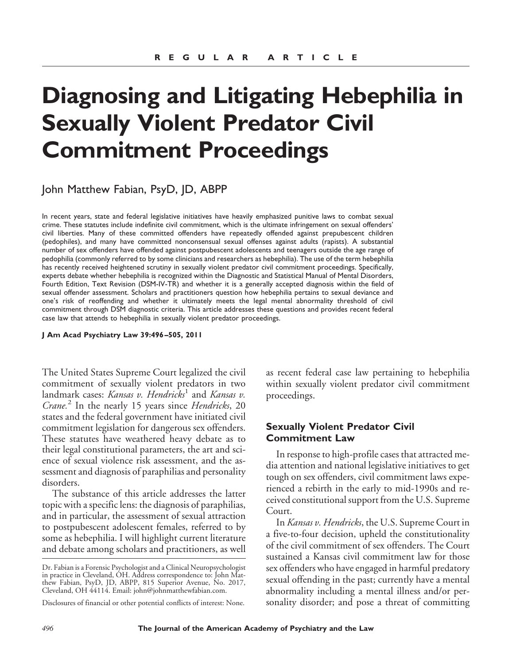# **Diagnosing and Litigating Hebephilia in Sexually Violent Predator Civil Commitment Proceedings**

John Matthew Fabian, PsyD, JD, ABPP

In recent years, state and federal legislative initiatives have heavily emphasized punitive laws to combat sexual crime. These statutes include indefinite civil commitment, which is the ultimate infringement on sexual offenders' civil liberties. Many of these committed offenders have repeatedly offended against prepubescent children (pedophiles), and many have committed nonconsensual sexual offenses against adults (rapists). A substantial number of sex offenders have offended against postpubescent adolescents and teenagers outside the age range of pedophilia (commonly referred to by some clinicians and researchers as hebephilia). The use of the term hebephilia has recently received heightened scrutiny in sexually violent predator civil commitment proceedings. Specifically, experts debate whether hebephilia is recognized within the Diagnostic and Statistical Manual of Mental Disorders, Fourth Edition, Text Revision (DSM-IV-TR) and whether it is a generally accepted diagnosis within the field of sexual offender assessment. Scholars and practitioners question how hebephilia pertains to sexual deviance and one's risk of reoffending and whether it ultimately meets the legal mental abnormality threshold of civil commitment through DSM diagnostic criteria. This article addresses these questions and provides recent federal case law that attends to hebephilia in sexually violent predator proceedings.

**J Am Acad Psychiatry Law 39:496 –505, 2011**

The United States Supreme Court legalized the civil commitment of sexually violent predators in two landmark cases: *Kansas v. Hendricks*<sup>1</sup> and *Kansas v. Crane.*<sup>2</sup> In the nearly 15 years since *Hendricks*, 20 states and the federal government have initiated civil commitment legislation for dangerous sex offenders. These statutes have weathered heavy debate as to their legal constitutional parameters, the art and science of sexual violence risk assessment, and the assessment and diagnosis of paraphilias and personality disorders.

The substance of this article addresses the latter topic with a specific lens: the diagnosis of paraphilias, and in particular, the assessment of sexual attraction to postpubescent adolescent females, referred to by some as hebephilia. I will highlight current literature and debate among scholars and practitioners, as well as recent federal case law pertaining to hebephilia within sexually violent predator civil commitment proceedings.

#### **Sexually Violent Predator Civil Commitment Law**

In response to high-profile cases that attracted media attention and national legislative initiatives to get tough on sex offenders, civil commitment laws experienced a rebirth in the early to mid-1990s and received constitutional support from the U.S. Supreme Court.

In *Kansas v. Hendricks*, the U.S. Supreme Court in a five-to-four decision, upheld the constitutionality of the civil commitment of sex offenders. The Court sustained a Kansas civil commitment law for those sex offenders who have engaged in harmful predatory sexual offending in the past; currently have a mental abnormality including a mental illness and/or personality disorder; and pose a threat of committing

Dr. Fabian is a Forensic Psychologist and a Clinical Neuropsychologist in practice in Cleveland, OH. Address correspondence to: John Matthew Fabian, PsyD, JD, ABPP, 815 Superior Avenue, No. 2017, Cleveland, OH 44114. Email: john@johnmatthewfabian.com.

Disclosures of financial or other potential conflicts of interest: None.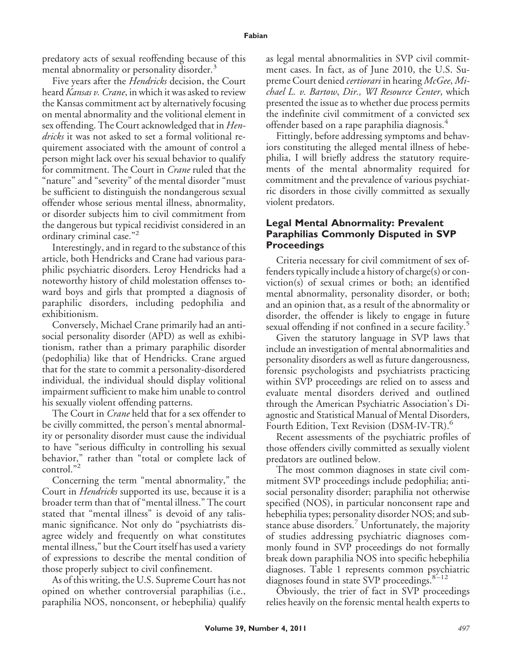predatory acts of sexual reoffending because of this mental abnormality or personality disorder.<sup>3</sup>

Five years after the *Hendricks* decision, the Court heard *Kansas v. Crane*, in which it was asked to review the Kansas commitment act by alternatively focusing on mental abnormality and the volitional element in sex offending. The Court acknowledged that in *Hendricks* it was not asked to set a formal volitional requirement associated with the amount of control a person might lack over his sexual behavior to qualify for commitment. The Court in *Crane* ruled that the "nature" and "severity" of the mental disorder "must be sufficient to distinguish the nondangerous sexual offender whose serious mental illness, abnormality, or disorder subjects him to civil commitment from the dangerous but typical recidivist considered in an ordinary criminal case."<sup>2</sup>

Interestingly, and in regard to the substance of this article, both Hendricks and Crane had various paraphilic psychiatric disorders. Leroy Hendricks had a noteworthy history of child molestation offenses toward boys and girls that prompted a diagnosis of paraphilic disorders, including pedophilia and exhibitionism.

Conversely, Michael Crane primarily had an antisocial personality disorder (APD) as well as exhibitionism, rather than a primary paraphilic disorder (pedophilia) like that of Hendricks. Crane argued that for the state to commit a personality-disordered individual, the individual should display volitional impairment sufficient to make him unable to control his sexually violent offending patterns.

The Court in *Crane* held that for a sex offender to be civilly committed, the person's mental abnormality or personality disorder must cause the individual to have "serious difficulty in controlling his sexual behavior," rather than "total or complete lack of control."<sup>2</sup>

Concerning the term "mental abnormality," the Court in *Hendricks* supported its use, because it is a broader term than that of "mental illness." The court stated that "mental illness" is devoid of any talismanic significance. Not only do "psychiatrists disagree widely and frequently on what constitutes mental illness," but the Court itself has used a variety of expressions to describe the mental condition of those properly subject to civil confinement.

As of this writing, the U.S. Supreme Court has not opined on whether controversial paraphilias (i.e., paraphilia NOS, nonconsent, or hebephilia) qualify as legal mental abnormalities in SVP civil commitment cases. In fact, as of June 2010, the U.S. Supreme Court denied *certiorari* in hearing *McGee*, *Michael L. v. Bartow*, *Dir., WI Resource Center*, which presented the issue as to whether due process permits the indefinite civil commitment of a convicted sex offender based on a rape paraphilia diagnosis.<sup>4</sup>

Fittingly, before addressing symptoms and behaviors constituting the alleged mental illness of hebephilia, I will briefly address the statutory requirements of the mental abnormality required for commitment and the prevalence of various psychiatric disorders in those civilly committed as sexually violent predators.

## **Legal Mental Abnormality: Prevalent Paraphilias Commonly Disputed in SVP Proceedings**

Criteria necessary for civil commitment of sex offenders typically include a history of charge(s) or conviction(s) of sexual crimes or both; an identified mental abnormality, personality disorder, or both; and an opinion that, as a result of the abnormality or disorder, the offender is likely to engage in future sexual offending if not confined in a secure facility.<sup>5</sup>

Given the statutory language in SVP laws that include an investigation of mental abnormalities and personality disorders as well as future dangerousness, forensic psychologists and psychiatrists practicing within SVP proceedings are relied on to assess and evaluate mental disorders derived and outlined through the American Psychiatric Association's Diagnostic and Statistical Manual of Mental Disorders, Fourth Edition, Text Revision (DSM-IV-TR).<sup>6</sup>

Recent assessments of the psychiatric profiles of those offenders civilly committed as sexually violent predators are outlined below.

The most common diagnoses in state civil commitment SVP proceedings include pedophilia; antisocial personality disorder; paraphilia not otherwise specified (NOS), in particular nonconsent rape and hebephilia types; personality disorder NOS; and substance abuse disorders.<sup>7</sup> Unfortunately, the majority of studies addressing psychiatric diagnoses commonly found in SVP proceedings do not formally break down paraphilia NOS into specific hebephilia diagnoses. Table 1 represents common psychiatric diagnoses found in state SVP proceedings.<sup>8-12</sup>

Obviously, the trier of fact in SVP proceedings relies heavily on the forensic mental health experts to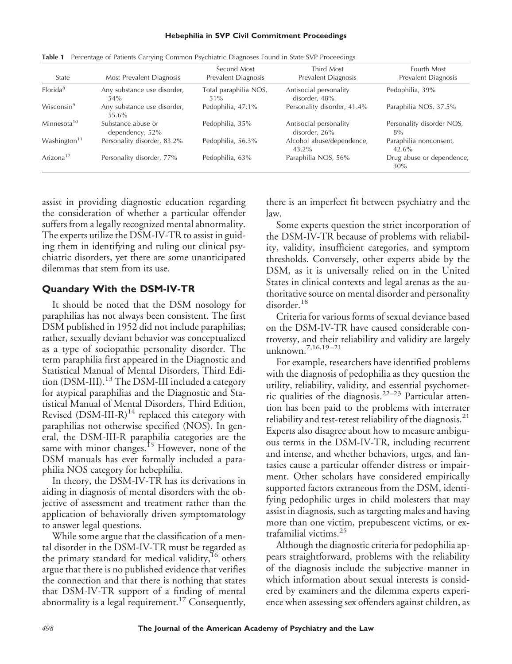#### **Hebephilia in SVP Civil Commitment Proceedings**

| State                   | Most Prevalent Diagnosis              | Second Most<br>Prevalent Diagnosis | Third Most<br>Prevalent Diagnosis       | Fourth Most<br>Prevalent Diagnosis |
|-------------------------|---------------------------------------|------------------------------------|-----------------------------------------|------------------------------------|
| Florida <sup>8</sup>    | Any substance use disorder,<br>$54\%$ | Total paraphilia NOS,<br>$51\%$    | Antisocial personality<br>disorder, 48% | Pedophilia, 39%                    |
| Wisconsin <sup>9</sup>  | Any substance use disorder,<br>55.6%  | Pedophilia, 47.1%                  | Personality disorder, 41.4%             | Paraphilia NOS, 37.5%              |
| Minnesota <sup>10</sup> | Substance abuse or<br>dependency, 52% | Pedophilia, 35%                    | Antisocial personality<br>disorder, 26% | Personality disorder NOS,<br>8%    |
| Washington $11$         | Personality disorder, 83.2%           | Pedophilia, 56.3%                  | Alcohol abuse/dependence,<br>$43.2\%$   | Paraphilia nonconsent,<br>42.6%    |
| Arizona <sup>12</sup>   | Personality disorder, 77%             | Pedophilia, 63%                    | Paraphilia NOS, 56%                     | Drug abuse or dependence,<br>30%   |

**Table 1** Percentage of Patients Carrying Common Psychiatric Diagnoses Found in State SVP Proceedings

assist in providing diagnostic education regarding the consideration of whether a particular offender suffers from a legally recognized mental abnormality. The experts utilize the DSM-IV-TR to assist in guiding them in identifying and ruling out clinical psychiatric disorders, yet there are some unanticipated dilemmas that stem from its use.

### **Quandary With the DSM-IV-TR**

It should be noted that the DSM nosology for paraphilias has not always been consistent. The first DSM published in 1952 did not include paraphilias; rather, sexually deviant behavior was conceptualized as a type of sociopathic personality disorder. The term paraphilia first appeared in the Diagnostic and Statistical Manual of Mental Disorders, Third Edition  $(DSM-III)$ <sup>13</sup> The DSM-III included a category for atypical paraphilias and the Diagnostic and Statistical Manual of Mental Disorders, Third Edition, Revised  $(DSM-III-R)^{14}$  replaced this category with paraphilias not otherwise specified (NOS). In general, the DSM-III-R paraphilia categories are the same with minor changes.<sup>15</sup> However, none of the DSM manuals has ever formally included a paraphilia NOS category for hebephilia.

In theory, the DSM-IV-TR has its derivations in aiding in diagnosis of mental disorders with the objective of assessment and treatment rather than the application of behaviorally driven symptomatology to answer legal questions.

While some argue that the classification of a mental disorder in the DSM-IV-TR must be regarded as the primary standard for medical validity,<sup>16</sup> others argue that there is no published evidence that verifies the connection and that there is nothing that states that DSM-IV-TR support of a finding of mental abnormality is a legal requirement.<sup>17</sup> Consequently,

there is an imperfect fit between psychiatry and the law.

Some experts question the strict incorporation of the DSM-IV-TR because of problems with reliability, validity, insufficient categories, and symptom thresholds. Conversely, other experts abide by the DSM, as it is universally relied on in the United States in clinical contexts and legal arenas as the authoritative source on mental disorder and personality disorder.<sup>18</sup>

Criteria for various forms of sexual deviance based on the DSM-IV-TR have caused considerable controversy, and their reliability and validity are largely unknown.7,16,19 –21

For example, researchers have identified problems with the diagnosis of pedophilia as they question the utility, reliability, validity, and essential psychometric qualities of the diagnosis.<sup>22–23</sup> Particular attention has been paid to the problems with interrater reliability and test-retest reliability of the diagnosis.<sup>21</sup> Experts also disagree about how to measure ambiguous terms in the DSM-IV-TR, including recurrent and intense, and whether behaviors, urges, and fantasies cause a particular offender distress or impairment. Other scholars have considered empirically supported factors extraneous from the DSM, identifying pedophilic urges in child molesters that may assist in diagnosis, such as targeting males and having more than one victim, prepubescent victims, or extrafamilial victims.<sup>25</sup>

Although the diagnostic criteria for pedophilia appears straightforward, problems with the reliability of the diagnosis include the subjective manner in which information about sexual interests is considered by examiners and the dilemma experts experience when assessing sex offenders against children, as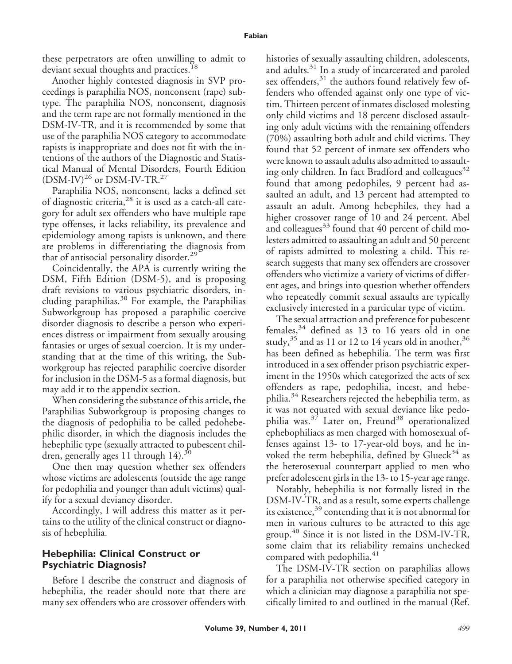these perpetrators are often unwilling to admit to deviant sexual thoughts and practices.<sup>18</sup>

Another highly contested diagnosis in SVP proceedings is paraphilia NOS, nonconsent (rape) subtype. The paraphilia NOS, nonconsent, diagnosis and the term rape are not formally mentioned in the DSM-IV-TR, and it is recommended by some that use of the paraphilia NOS category to accommodate rapists is inappropriate and does not fit with the intentions of the authors of the Diagnostic and Statistical Manual of Mental Disorders, Fourth Edition  $(DSM-IV)^{26}$  or DSM-IV-TR.<sup>27</sup>

Paraphilia NOS, nonconsent, lacks a defined set of diagnostic criteria,<sup>28</sup> it is used as a catch-all category for adult sex offenders who have multiple rape type offenses, it lacks reliability, its prevalence and epidemiology among rapists is unknown, and there are problems in differentiating the diagnosis from that of antisocial personality disorder.<sup>29</sup>

Coincidentally, the APA is currently writing the DSM, Fifth Edition (DSM-5), and is proposing draft revisions to various psychiatric disorders, including paraphilias.<sup>30</sup> For example, the Paraphilias Subworkgroup has proposed a paraphilic coercive disorder diagnosis to describe a person who experiences distress or impairment from sexually arousing fantasies or urges of sexual coercion. It is my understanding that at the time of this writing, the Subworkgroup has rejected paraphilic coercive disorder for inclusion in the DSM-5 as a formal diagnosis, but may add it to the appendix section.

When considering the substance of this article, the Paraphilias Subworkgroup is proposing changes to the diagnosis of pedophilia to be called pedohebephilic disorder, in which the diagnosis includes the hebephilic type (sexually attracted to pubescent children, generally ages 11 through  $14$ ).<sup>30</sup>

One then may question whether sex offenders whose victims are adolescents (outside the age range for pedophilia and younger than adult victims) qualify for a sexual deviancy disorder.

Accordingly, I will address this matter as it pertains to the utility of the clinical construct or diagnosis of hebephilia.

### **Hebephilia: Clinical Construct or Psychiatric Diagnosis?**

Before I describe the construct and diagnosis of hebephilia, the reader should note that there are many sex offenders who are crossover offenders with

histories of sexually assaulting children, adolescents, and adults.<sup>31</sup> In a study of incarcerated and paroled sex offenders,<sup>31</sup> the authors found relatively few offenders who offended against only one type of victim. Thirteen percent of inmates disclosed molesting only child victims and 18 percent disclosed assaulting only adult victims with the remaining offenders (70%) assaulting both adult and child victims. They found that 52 percent of inmate sex offenders who were known to assault adults also admitted to assaulting only children. In fact Bradford and colleagues<sup>32</sup> found that among pedophiles, 9 percent had assaulted an adult, and 13 percent had attempted to assault an adult. Among hebephiles, they had a higher crossover range of 10 and 24 percent. Abel and colleagues $33$  found that 40 percent of child molesters admitted to assaulting an adult and 50 percent of rapists admitted to molesting a child. This research suggests that many sex offenders are crossover offenders who victimize a variety of victims of different ages, and brings into question whether offenders who repeatedly commit sexual assaults are typically exclusively interested in a particular type of victim.

The sexual attraction and preference for pubescent females,<sup>34</sup> defined as 13 to 16 years old in one study,<sup>35</sup> and as 11 or 12 to 14 years old in another,<sup>36</sup> has been defined as hebephilia. The term was first introduced in a sex offender prison psychiatric experiment in the 1950s which categorized the acts of sex offenders as rape, pedophilia, incest, and hebephilia.<sup>34</sup> Researchers rejected the hebephilia term, as it was not equated with sexual deviance like pedophilia was. $3^7$  Later on, Freund<sup>38</sup> operationalized ephebophiliacs as men charged with homosexual offenses against 13- to 17-year-old boys, and he invoked the term hebephilia, defined by Glueck $34$  as the heterosexual counterpart applied to men who prefer adolescent girls in the 13- to 15-year age range.

Notably, hebephilia is not formally listed in the DSM-IV-TR, and as a result, some experts challenge its existence,<sup>39</sup> contending that it is not abnormal for men in various cultures to be attracted to this age group.<sup>40</sup> Since it is not listed in the DSM-IV-TR, some claim that its reliability remains unchecked compared with pedophilia.<sup>41</sup>

The DSM-IV-TR section on paraphilias allows for a paraphilia not otherwise specified category in which a clinician may diagnose a paraphilia not specifically limited to and outlined in the manual (Ref.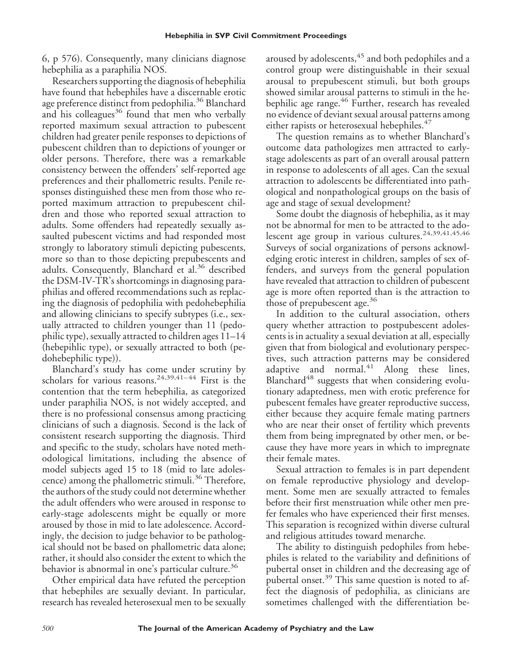6, p 576). Consequently, many clinicians diagnose hebephilia as a paraphilia NOS.

Researchers supporting the diagnosis of hebephilia have found that hebephiles have a discernable erotic age preference distinct from pedophilia.<sup>36</sup> Blanchard and his colleagues $36$  found that men who verbally reported maximum sexual attraction to pubescent children had greater penile responses to depictions of pubescent children than to depictions of younger or older persons. Therefore, there was a remarkable consistency between the offenders' self-reported age preferences and their phallometric results. Penile responses distinguished these men from those who reported maximum attraction to prepubescent children and those who reported sexual attraction to adults. Some offenders had repeatedly sexually assaulted pubescent victims and had responded most strongly to laboratory stimuli depicting pubescents, more so than to those depicting prepubescents and adults. Consequently, Blanchard et al.<sup>36</sup> described the DSM-IV-TR's shortcomings in diagnosing paraphilias and offered recommendations such as replacing the diagnosis of pedophilia with pedohebephilia and allowing clinicians to specify subtypes (i.e., sexually attracted to children younger than 11 (pedophilic type), sexually attracted to children ages 11–14 (hebepihlic type), or sexually attracted to both (pedohebephilic type)).

Blanchard's study has come under scrutiny by scholars for various reasons.<sup>24,39,41-44</sup> First is the contention that the term hebephilia, as categorized under paraphilia NOS, is not widely accepted, and there is no professional consensus among practicing clinicians of such a diagnosis. Second is the lack of consistent research supporting the diagnosis. Third and specific to the study, scholars have noted methodological limitations, including the absence of model subjects aged 15 to 18 (mid to late adolescence) among the phallometric stimuli.<sup>36</sup> Therefore, the authors of the study could not determine whether the adult offenders who were aroused in response to early-stage adolescents might be equally or more aroused by those in mid to late adolescence. Accordingly, the decision to judge behavior to be pathological should not be based on phallometric data alone; rather, it should also consider the extent to which the behavior is abnormal in one's particular culture.<sup>36</sup>

Other empirical data have refuted the perception that hebephiles are sexually deviant. In particular, research has revealed heterosexual men to be sexually

aroused by adolescents,<sup>45</sup> and both pedophiles and a control group were distinguishable in their sexual arousal to prepubescent stimuli, but both groups showed similar arousal patterns to stimuli in the hebephilic age range.<sup>46</sup> Further, research has revealed no evidence of deviant sexual arousal patterns among either rapists or heterosexual hebephiles.<sup>47</sup>

The question remains as to whether Blanchard's outcome data pathologizes men attracted to earlystage adolescents as part of an overall arousal pattern in response to adolescents of all ages. Can the sexual attraction to adolescents be differentiated into pathological and nonpathological groups on the basis of age and stage of sexual development?

Some doubt the diagnosis of hebephilia, as it may not be abnormal for men to be attracted to the adolescent age group in various cultures.<sup>24,39,41,45,46</sup> Surveys of social organizations of persons acknowledging erotic interest in children, samples of sex offenders, and surveys from the general population have revealed that attraction to children of pubescent age is more often reported than is the attraction to those of prepubescent age.<sup>36</sup>

In addition to the cultural association, others query whether attraction to postpubescent adolescents is in actuality a sexual deviation at all, especially given that from biological and evolutionary perspectives, such attraction patterns may be considered adaptive and normal.<sup>41</sup> Along these lines, Blanchard<sup>48</sup> suggests that when considering evolutionary adaptedness, men with erotic preference for pubescent females have greater reproductive success, either because they acquire female mating partners who are near their onset of fertility which prevents them from being impregnated by other men, or because they have more years in which to impregnate their female mates.

Sexual attraction to females is in part dependent on female reproductive physiology and development. Some men are sexually attracted to females before their first menstruation while other men prefer females who have experienced their first menses. This separation is recognized within diverse cultural and religious attitudes toward menarche.

The ability to distinguish pedophiles from hebephiles is related to the variability and definitions of pubertal onset in children and the decreasing age of pubertal onset.<sup>39</sup> This same question is noted to affect the diagnosis of pedophilia, as clinicians are sometimes challenged with the differentiation be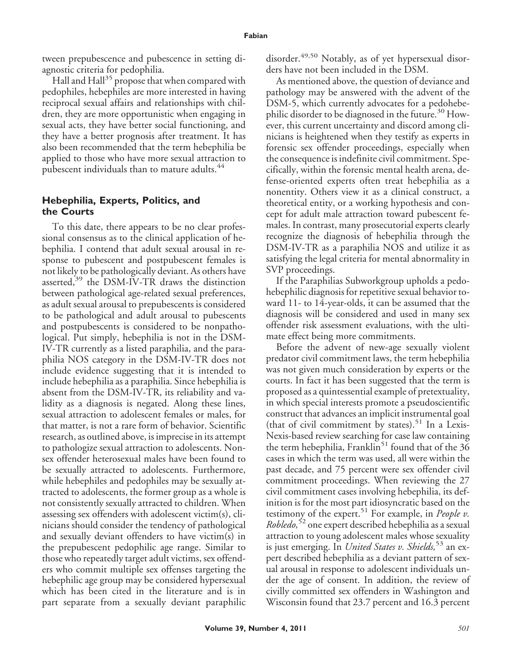tween prepubescence and pubescence in setting diagnostic criteria for pedophilia.

Hall and  $\text{Hall}^{35}$  propose that when compared with pedophiles, hebephiles are more interested in having reciprocal sexual affairs and relationships with children, they are more opportunistic when engaging in sexual acts, they have better social functioning, and they have a better prognosis after treatment. It has also been recommended that the term hebephilia be applied to those who have more sexual attraction to pubescent individuals than to mature adults.<sup>44</sup>

### **Hebephilia, Experts, Politics, and the Courts**

To this date, there appears to be no clear professional consensus as to the clinical application of hebephilia. I contend that adult sexual arousal in response to pubescent and postpubescent females is not likely to be pathologically deviant. As others have asserted,<sup>39</sup> the DSM-IV-TR draws the distinction between pathological age-related sexual preferences, as adult sexual arousal to prepubescents is considered to be pathological and adult arousal to pubescents and postpubescents is considered to be nonpathological. Put simply, hebephilia is not in the DSM-IV-TR currently as a listed paraphilia, and the paraphilia NOS category in the DSM-IV-TR does not include evidence suggesting that it is intended to include hebephilia as a paraphilia. Since hebephilia is absent from the DSM-IV-TR, its reliability and validity as a diagnosis is negated. Along these lines, sexual attraction to adolescent females or males, for that matter, is not a rare form of behavior. Scientific research, as outlined above, is imprecise in its attempt to pathologize sexual attraction to adolescents. Nonsex offender heterosexual males have been found to be sexually attracted to adolescents. Furthermore, while hebephiles and pedophiles may be sexually attracted to adolescents, the former group as a whole is not consistently sexually attracted to children. When assessing sex offenders with adolescent victim(s), clinicians should consider the tendency of pathological and sexually deviant offenders to have victim(s) in the prepubescent pedophilic age range. Similar to those who repeatedly target adult victims, sex offenders who commit multiple sex offenses targeting the hebephilic age group may be considered hypersexual which has been cited in the literature and is in part separate from a sexually deviant paraphilic disorder.<sup>49,50</sup> Notably, as of yet hypersexual disorders have not been included in the DSM.

As mentioned above, the question of deviance and pathology may be answered with the advent of the DSM-5, which currently advocates for a pedohebephilic disorder to be diagnosed in the future.<sup>30</sup> However, this current uncertainty and discord among clinicians is heightened when they testify as experts in forensic sex offender proceedings, especially when the consequence is indefinite civil commitment. Specifically, within the forensic mental health arena, defense-oriented experts often treat hebephilia as a nonentity. Others view it as a clinical construct, a theoretical entity, or a working hypothesis and concept for adult male attraction toward pubescent females. In contrast, many prosecutorial experts clearly recognize the diagnosis of hebephilia through the DSM-IV-TR as a paraphilia NOS and utilize it as satisfying the legal criteria for mental abnormality in SVP proceedings.

If the Paraphilias Subworkgroup upholds a pedohebephilic diagnosis for repetitive sexual behavior toward 11- to 14-year-olds, it can be assumed that the diagnosis will be considered and used in many sex offender risk assessment evaluations, with the ultimate effect being more commitments.

Before the advent of new-age sexually violent predator civil commitment laws, the term hebephilia was not given much consideration by experts or the courts. In fact it has been suggested that the term is proposed as a quintessential example of pretextuality, in which special interests promote a pseudoscientific construct that advances an implicit instrumental goal (that of civil commitment by states).<sup>51</sup> In a Lexis-Nexis-based review searching for case law containing the term hebephilia, Franklin<sup>51</sup> found that of the  $36$ cases in which the term was used, all were within the past decade, and 75 percent were sex offender civil commitment proceedings. When reviewing the 27 civil commitment cases involving hebephilia, its definition is for the most part idiosyncratic based on the testimony of the expert.<sup>51</sup> For example, in *People v. Robledo,*<sup>52</sup> one expert described hebephilia as a sexual attraction to young adolescent males whose sexuality is just emerging. In *United States v. Shields,*<sup>53</sup> an expert described hebephilia as a deviant pattern of sexual arousal in response to adolescent individuals under the age of consent. In addition, the review of civilly committed sex offenders in Washington and Wisconsin found that 23.7 percent and 16.3 percent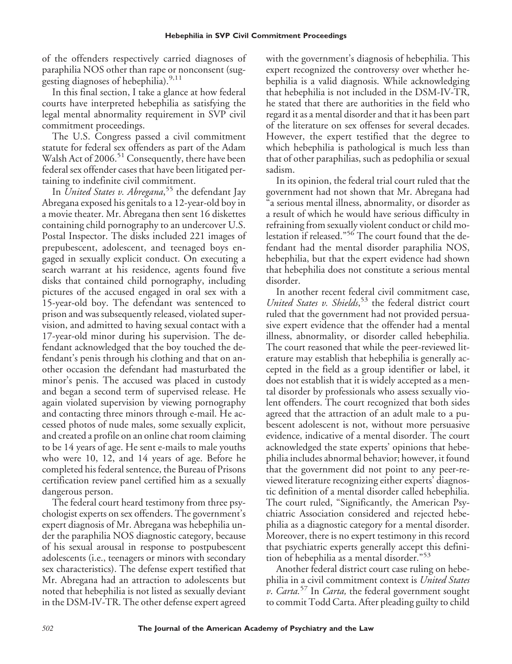of the offenders respectively carried diagnoses of paraphilia NOS other than rape or nonconsent (suggesting diagnoses of hebephilia).<sup>9,11</sup>

In this final section, I take a glance at how federal courts have interpreted hebephilia as satisfying the legal mental abnormality requirement in SVP civil commitment proceedings.

The U.S. Congress passed a civil commitment statute for federal sex offenders as part of the Adam Walsh Act of  $2006$ .<sup>51</sup> Consequently, there have been federal sex offender cases that have been litigated pertaining to indefinite civil commitment.

In *United States v. Abregana*, <sup>55</sup> the defendant Jay Abregana exposed his genitals to a 12-year-old boy in a movie theater. Mr. Abregana then sent 16 diskettes containing child pornography to an undercover U.S. Postal Inspector. The disks included 221 images of prepubescent, adolescent, and teenaged boys engaged in sexually explicit conduct. On executing a search warrant at his residence, agents found five disks that contained child pornography, including pictures of the accused engaged in oral sex with a 15-year-old boy. The defendant was sentenced to prison and was subsequently released, violated supervision, and admitted to having sexual contact with a 17-year-old minor during his supervision. The defendant acknowledged that the boy touched the defendant's penis through his clothing and that on another occasion the defendant had masturbated the minor's penis. The accused was placed in custody and began a second term of supervised release. He again violated supervision by viewing pornography and contacting three minors through e-mail. He accessed photos of nude males, some sexually explicit, and created a profile on an online chat room claiming to be 14 years of age. He sent e-mails to male youths who were 10, 12, and 14 years of age. Before he completed his federal sentence, the Bureau of Prisons certification review panel certified him as a sexually dangerous person.

The federal court heard testimony from three psychologist experts on sex offenders. The government's expert diagnosis of Mr. Abregana was hebephilia under the paraphilia NOS diagnostic category, because of his sexual arousal in response to postpubescent adolescents (i.e., teenagers or minors with secondary sex characteristics). The defense expert testified that Mr. Abregana had an attraction to adolescents but noted that hebephilia is not listed as sexually deviant in the DSM-IV-TR. The other defense expert agreed with the government's diagnosis of hebephilia. This expert recognized the controversy over whether hebephilia is a valid diagnosis. While acknowledging that hebephilia is not included in the DSM-IV-TR, he stated that there are authorities in the field who regard it as a mental disorder and that it has been part of the literature on sex offenses for several decades. However, the expert testified that the degree to which hebephilia is pathological is much less than that of other paraphilias, such as pedophilia or sexual sadism.

In its opinion, the federal trial court ruled that the government had not shown that Mr. Abregana had a serious mental illness, abnormality, or disorder as a result of which he would have serious difficulty in refraining from sexually violent conduct or child molestation if released."<sup>56</sup> The court found that the defendant had the mental disorder paraphilia NOS, hebephilia, but that the expert evidence had shown that hebephilia does not constitute a serious mental disorder.

In another recent federal civil commitment case, *United States v. Shields*, <sup>53</sup> the federal district court ruled that the government had not provided persuasive expert evidence that the offender had a mental illness, abnormality, or disorder called hebephilia. The court reasoned that while the peer-reviewed literature may establish that hebephilia is generally accepted in the field as a group identifier or label, it does not establish that it is widely accepted as a mental disorder by professionals who assess sexually violent offenders. The court recognized that both sides agreed that the attraction of an adult male to a pubescent adolescent is not, without more persuasive evidence, indicative of a mental disorder. The court acknowledged the state experts' opinions that hebephilia includes abnormal behavior; however, it found that the government did not point to any peer-reviewed literature recognizing either experts' diagnostic definition of a mental disorder called hebephilia. The court ruled, "Significantly, the American Psychiatric Association considered and rejected hebephilia as a diagnostic category for a mental disorder. Moreover, there is no expert testimony in this record that psychiatric experts generally accept this definition of hebephilia as a mental disorder."<sup>53</sup>

Another federal district court case ruling on hebephilia in a civil commitment context is *United States v*. *Carta.*<sup>57</sup> In *Carta,* the federal government sought to commit Todd Carta. After pleading guilty to child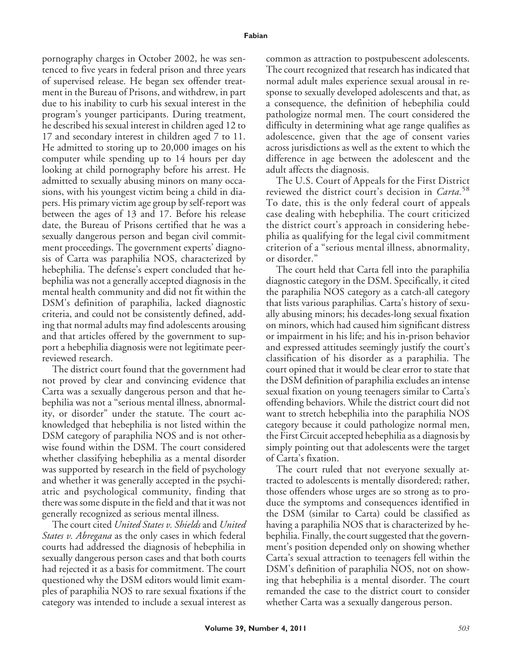pornography charges in October 2002, he was sentenced to five years in federal prison and three years of supervised release. He began sex offender treatment in the Bureau of Prisons, and withdrew, in part due to his inability to curb his sexual interest in the program's younger participants. During treatment, he described his sexual interest in children aged 12 to 17 and secondary interest in children aged 7 to 11. He admitted to storing up to 20,000 images on his computer while spending up to 14 hours per day looking at child pornography before his arrest. He admitted to sexually abusing minors on many occasions, with his youngest victim being a child in diapers. His primary victim age group by self-report was between the ages of 13 and 17. Before his release date, the Bureau of Prisons certified that he was a sexually dangerous person and began civil commitment proceedings. The government experts' diagnosis of Carta was paraphilia NOS, characterized by hebephilia. The defense's expert concluded that hebephilia was not a generally accepted diagnosis in the mental health community and did not fit within the DSM's definition of paraphilia, lacked diagnostic criteria, and could not be consistently defined, adding that normal adults may find adolescents arousing and that articles offered by the government to support a hebephilia diagnosis were not legitimate peerreviewed research.

The district court found that the government had not proved by clear and convincing evidence that Carta was a sexually dangerous person and that hebephilia was not a "serious mental illness, abnormality, or disorder" under the statute. The court acknowledged that hebephilia is not listed within the DSM category of paraphilia NOS and is not otherwise found within the DSM. The court considered whether classifying hebephilia as a mental disorder was supported by research in the field of psychology and whether it was generally accepted in the psychiatric and psychological community, finding that there was some dispute in the field and that it was not generally recognized as serious mental illness.

The court cited *United States v. Shields* and *United States v. Abregana* as the only cases in which federal courts had addressed the diagnosis of hebephilia in sexually dangerous person cases and that both courts had rejected it as a basis for commitment. The court questioned why the DSM editors would limit examples of paraphilia NOS to rare sexual fixations if the category was intended to include a sexual interest as common as attraction to postpubescent adolescents. The court recognized that research has indicated that normal adult males experience sexual arousal in response to sexually developed adolescents and that, as a consequence, the definition of hebephilia could pathologize normal men. The court considered the difficulty in determining what age range qualifies as adolescence, given that the age of consent varies across jurisdictions as well as the extent to which the difference in age between the adolescent and the adult affects the diagnosis.

The U.S. Court of Appeals for the First District reviewed the district court's decision in *Carta.*<sup>58</sup> To date, this is the only federal court of appeals case dealing with hebephilia. The court criticized the district court's approach in considering hebephilia as qualifying for the legal civil commitment criterion of a "serious mental illness, abnormality, or disorder."

The court held that Carta fell into the paraphilia diagnostic category in the DSM. Specifically, it cited the paraphilia NOS category as a catch-all category that lists various paraphilias. Carta's history of sexually abusing minors; his decades-long sexual fixation on minors, which had caused him significant distress or impairment in his life; and his in-prison behavior and expressed attitudes seemingly justify the court's classification of his disorder as a paraphilia. The court opined that it would be clear error to state that the DSM definition of paraphilia excludes an intense sexual fixation on young teenagers similar to Carta's offending behaviors. While the district court did not want to stretch hebephilia into the paraphilia NOS category because it could pathologize normal men, the First Circuit accepted hebephilia as a diagnosis by simply pointing out that adolescents were the target of Carta's fixation.

The court ruled that not everyone sexually attracted to adolescents is mentally disordered; rather, those offenders whose urges are so strong as to produce the symptoms and consequences identified in the DSM (similar to Carta) could be classified as having a paraphilia NOS that is characterized by hebephilia. Finally, the court suggested that the government's position depended only on showing whether Carta's sexual attraction to teenagers fell within the DSM's definition of paraphilia NOS, not on showing that hebephilia is a mental disorder. The court remanded the case to the district court to consider whether Carta was a sexually dangerous person.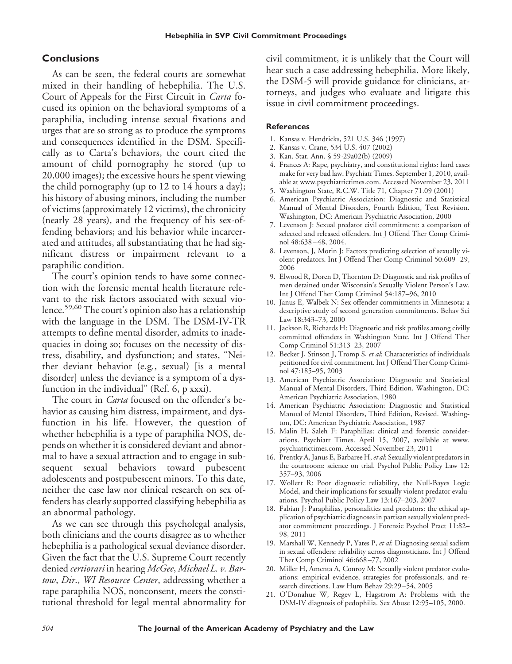### **Conclusions**

As can be seen, the federal courts are somewhat mixed in their handling of hebephilia. The U.S. Court of Appeals for the First Circuit in *Carta* focused its opinion on the behavioral symptoms of a paraphilia, including intense sexual fixations and urges that are so strong as to produce the symptoms and consequences identified in the DSM. Specifically as to Carta's behaviors, the court cited the amount of child pornography he stored (up to 20,000 images); the excessive hours he spent viewing the child pornography (up to 12 to 14 hours a day); his history of abusing minors, including the number of victims (approximately 12 victims), the chronicity (nearly 28 years), and the frequency of his sex-offending behaviors; and his behavior while incarcerated and attitudes, all substantiating that he had significant distress or impairment relevant to a paraphilic condition.

The court's opinion tends to have some connection with the forensic mental health literature relevant to the risk factors associated with sexual violence.<sup>59,60</sup> The court's opinion also has a relationship with the language in the DSM. The DSM-IV-TR attempts to define mental disorder, admits to inadequacies in doing so; focuses on the necessity of distress, disability, and dysfunction; and states, "Neither deviant behavior (e.g*.*, sexual) [is a mental disorder] unless the deviance is a symptom of a dysfunction in the individual" (Ref. 6, p xxxi).

The court in *Carta* focused on the offender's behavior as causing him distress, impairment, and dysfunction in his life. However, the question of whether hebephilia is a type of paraphilia NOS, depends on whether it is considered deviant and abnormal to have a sexual attraction and to engage in subsequent sexual behaviors toward pubescent adolescents and postpubescent minors. To this date, neither the case law nor clinical research on sex offenders has clearly supported classifying hebephilia as an abnormal pathology.

As we can see through this psycholegal analysis, both clinicians and the courts disagree as to whether hebephilia is a pathological sexual deviance disorder. Given the fact that the U.S. Supreme Court recently denied *certiorari* in hearing *McGee*, *Michael L. v. Bartow*, *Dir*., *WI Resource Center*, addressing whether a rape paraphilia NOS, nonconsent, meets the constitutional threshold for legal mental abnormality for civil commitment, it is unlikely that the Court will hear such a case addressing hebephilia. More likely, the DSM-5 will provide guidance for clinicians, attorneys, and judges who evaluate and litigate this issue in civil commitment proceedings.

#### **References**

- 1. Kansas v. Hendricks, 521 U.S. 346 (1997)
- 2. Kansas v. Crane, 534 U.S. 407 (2002)
- 3. Kan. Stat. Ann. § 59-29a02(b) (2009)
- 4. Frances A: Rape, psychiatry, and constitutional rights: hard cases make for very bad law. Psychiatr Times. September 1, 2010, available at www.psychiatrictimes.com. Accessed November 23, 2011
- 5. Washington State, R.C.W. Title 71, Chapter 71.09 (2001)
- 6. American Psychiatric Association: Diagnostic and Statistical Manual of Mental Disorders, Fourth Edition, Text Revision. Washington, DC: American Psychiatric Association, 2000
- 7. Levenson J: Sexual predator civil commitment: a comparison of selected and released offenders. Int J Offend Ther Comp Criminol 48:638 – 48, 2004.
- 8. Levenson, J, Morin J: Factors predicting selection of sexually violent predators. Int J Offend Ther Comp Criminol 50:609 –29, 2006
- 9. Elwood R, Doren D, Thornton D: Diagnostic and risk profiles of men detained under Wisconsin's Sexually Violent Person's Law. Int J Offend Ther Comp Criminol 54:187–96, 2010
- 10. Janus E, Walbek N: Sex offender commitments in Minnesota: a descriptive study of second generation commitments. Behav Sci Law 18:343–73, 2000
- 11. Jackson R, Richards H: Diagnostic and risk profiles among civilly committed offenders in Washington State. Int J Offend Ther Comp Criminol 51:313–23, 2007
- 12. Becker J, Stinson J, Tromp S, *et al*: Characteristics of individuals petitioned for civil commitment. Int J Offend Ther Comp Criminol 47:185–95, 2003
- 13. American Psychiatric Association: Diagnostic and Statistical Manual of Mental Disorders, Third Edition. Washington, DC: American Psychiatric Association, 1980
- 14. American Psychiatric Association: Diagnostic and Statistical Manual of Mental Disorders, Third Edition, Revised. Washington, DC: American Psychiatric Association, 1987
- 15. Malin H, Saleh F: Paraphilias: clinical and forensic considerations. Psychiatr Times. April 15, 2007, available at www. psychiatrictimes.com. Accessed November 23, 2011
- 16. Prentky A, Janus E, Barbaree H,*et al*: Sexually violent predators in the courtroom: science on trial. Psychol Public Policy Law 12: 357–93, 2006
- 17. Wollert R: Poor diagnostic reliability, the Null-Bayes Logic Model, and their implications for sexually violent predator evaluations. Psychol Public Policy Law 13:167–203, 2007
- 18. Fabian J: Paraphilias, personalities and predators: the ethical application of psychiatric diagnoses in partisan sexually violent predator commitment proceedings. J Forensic Psychol Pract 11:82– 98, 2011
- 19. Marshall W, Kennedy P, Yates P, *et al*: Diagnosing sexual sadism in sexual offenders: reliability across diagnosticians. Int J Offend Ther Comp Criminol 46:668 –77, 2002
- 20. Miller H, Amenta A, Conroy M: Sexually violent predator evaluations: empirical evidence, strategies for professionals, and research directions. Law Hum Behav 29:29 –54, 2005
- 21. O'Donahue W, Regev L, Hagstrom A: Problems with the DSM-IV diagnosis of pedophilia. Sex Abuse 12:95–105, 2000.